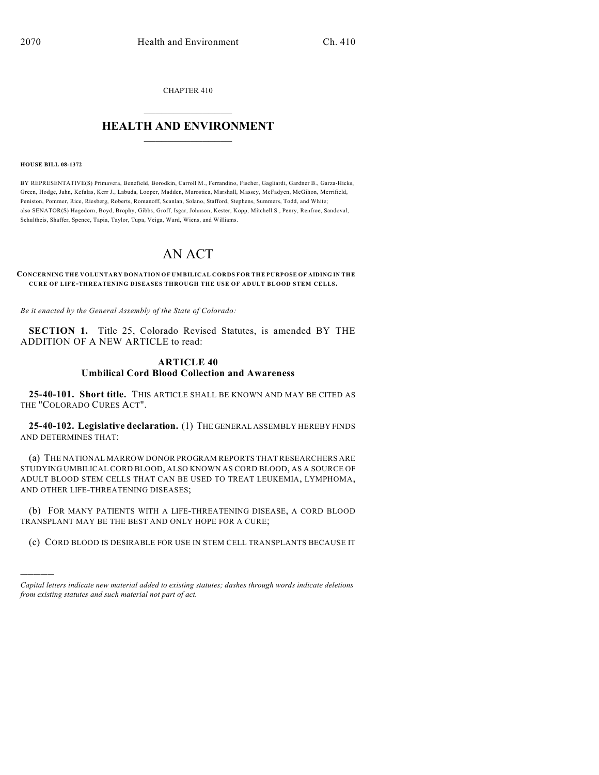CHAPTER 410

## $\mathcal{L}_\text{max}$  . The set of the set of the set of the set of the set of the set of the set of the set of the set of the set of the set of the set of the set of the set of the set of the set of the set of the set of the set **HEALTH AND ENVIRONMENT**  $\_$

#### **HOUSE BILL 08-1372**

)))))

BY REPRESENTATIVE(S) Primavera, Benefield, Borodkin, Carroll M., Ferrandino, Fischer, Gagliardi, Gardner B., Garza-Hicks, Green, Hodge, Jahn, Kefalas, Kerr J., Labuda, Looper, Madden, Marostica, Marshall, Massey, McFadyen, McGihon, Merrifield, Peniston, Pommer, Rice, Riesberg, Roberts, Romanoff, Scanlan, Solano, Stafford, Stephens, Summers, Todd, and White; also SENATOR(S) Hagedorn, Boyd, Brophy, Gibbs, Groff, Isgar, Johnson, Kester, Kopp, Mitchell S., Penry, Renfroe, Sandoval, Schultheis, Shaffer, Spence, Tapia, Taylor, Tupa, Veiga, Ward, Wiens, and Williams.

# AN ACT

**CONCERNING THE VOLUNTARY DONATION OF UMBILICAL CORDS FOR THE PURPOSE OF AIDING IN THE CURE OF LIFE-THREATENING DISEASES THROUGH THE USE OF ADULT BLOOD STEM CELLS.**

*Be it enacted by the General Assembly of the State of Colorado:*

**SECTION 1.** Title 25, Colorado Revised Statutes, is amended BY THE ADDITION OF A NEW ARTICLE to read:

### **ARTICLE 40 Umbilical Cord Blood Collection and Awareness**

**25-40-101. Short title.** THIS ARTICLE SHALL BE KNOWN AND MAY BE CITED AS THE "COLORADO CURES ACT".

**25-40-102. Legislative declaration.** (1) THE GENERAL ASSEMBLY HEREBY FINDS AND DETERMINES THAT:

(a) THE NATIONAL MARROW DONOR PROGRAM REPORTS THAT RESEARCHERS ARE STUDYING UMBILICAL CORD BLOOD, ALSO KNOWN AS CORD BLOOD, AS A SOURCE OF ADULT BLOOD STEM CELLS THAT CAN BE USED TO TREAT LEUKEMIA, LYMPHOMA, AND OTHER LIFE-THREATENING DISEASES;

(b) FOR MANY PATIENTS WITH A LIFE-THREATENING DISEASE, A CORD BLOOD TRANSPLANT MAY BE THE BEST AND ONLY HOPE FOR A CURE;

(c) CORD BLOOD IS DESIRABLE FOR USE IN STEM CELL TRANSPLANTS BECAUSE IT

*Capital letters indicate new material added to existing statutes; dashes through words indicate deletions from existing statutes and such material not part of act.*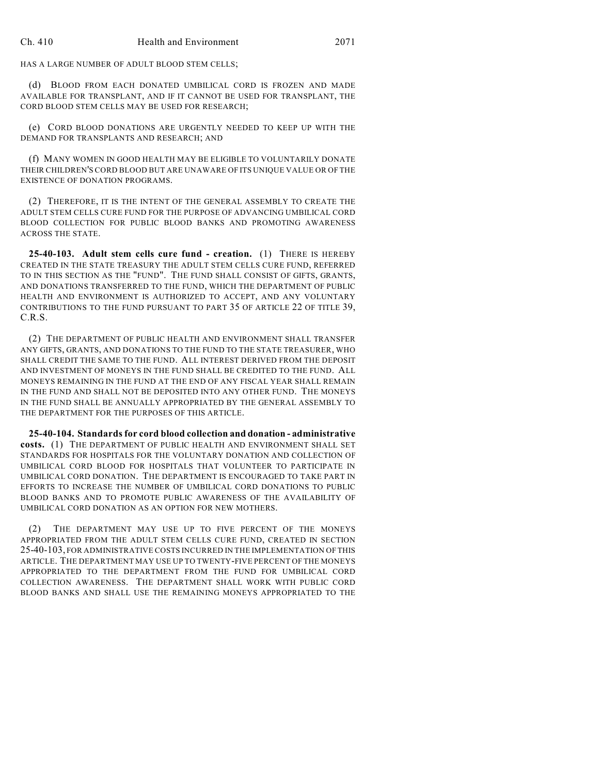HAS A LARGE NUMBER OF ADULT BLOOD STEM CELLS;

(d) BLOOD FROM EACH DONATED UMBILICAL CORD IS FROZEN AND MADE AVAILABLE FOR TRANSPLANT, AND IF IT CANNOT BE USED FOR TRANSPLANT, THE CORD BLOOD STEM CELLS MAY BE USED FOR RESEARCH;

(e) CORD BLOOD DONATIONS ARE URGENTLY NEEDED TO KEEP UP WITH THE DEMAND FOR TRANSPLANTS AND RESEARCH; AND

(f) MANY WOMEN IN GOOD HEALTH MAY BE ELIGIBLE TO VOLUNTARILY DONATE THEIR CHILDREN'S CORD BLOOD BUT ARE UNAWARE OF ITS UNIQUE VALUE OR OF THE EXISTENCE OF DONATION PROGRAMS.

(2) THEREFORE, IT IS THE INTENT OF THE GENERAL ASSEMBLY TO CREATE THE ADULT STEM CELLS CURE FUND FOR THE PURPOSE OF ADVANCING UMBILICAL CORD BLOOD COLLECTION FOR PUBLIC BLOOD BANKS AND PROMOTING AWARENESS ACROSS THE STATE.

**25-40-103. Adult stem cells cure fund - creation.** (1) THERE IS HEREBY CREATED IN THE STATE TREASURY THE ADULT STEM CELLS CURE FUND, REFERRED TO IN THIS SECTION AS THE "FUND". THE FUND SHALL CONSIST OF GIFTS, GRANTS, AND DONATIONS TRANSFERRED TO THE FUND, WHICH THE DEPARTMENT OF PUBLIC HEALTH AND ENVIRONMENT IS AUTHORIZED TO ACCEPT, AND ANY VOLUNTARY CONTRIBUTIONS TO THE FUND PURSUANT TO PART 35 OF ARTICLE 22 OF TITLE 39, C.R.S.

(2) THE DEPARTMENT OF PUBLIC HEALTH AND ENVIRONMENT SHALL TRANSFER ANY GIFTS, GRANTS, AND DONATIONS TO THE FUND TO THE STATE TREASURER, WHO SHALL CREDIT THE SAME TO THE FUND. ALL INTEREST DERIVED FROM THE DEPOSIT AND INVESTMENT OF MONEYS IN THE FUND SHALL BE CREDITED TO THE FUND. ALL MONEYS REMAINING IN THE FUND AT THE END OF ANY FISCAL YEAR SHALL REMAIN IN THE FUND AND SHALL NOT BE DEPOSITED INTO ANY OTHER FUND. THE MONEYS IN THE FUND SHALL BE ANNUALLY APPROPRIATED BY THE GENERAL ASSEMBLY TO THE DEPARTMENT FOR THE PURPOSES OF THIS ARTICLE.

**25-40-104. Standards for cord blood collection and donation - administrative costs.** (1) THE DEPARTMENT OF PUBLIC HEALTH AND ENVIRONMENT SHALL SET STANDARDS FOR HOSPITALS FOR THE VOLUNTARY DONATION AND COLLECTION OF UMBILICAL CORD BLOOD FOR HOSPITALS THAT VOLUNTEER TO PARTICIPATE IN UMBILICAL CORD DONATION. THE DEPARTMENT IS ENCOURAGED TO TAKE PART IN EFFORTS TO INCREASE THE NUMBER OF UMBILICAL CORD DONATIONS TO PUBLIC BLOOD BANKS AND TO PROMOTE PUBLIC AWARENESS OF THE AVAILABILITY OF UMBILICAL CORD DONATION AS AN OPTION FOR NEW MOTHERS.

(2) THE DEPARTMENT MAY USE UP TO FIVE PERCENT OF THE MONEYS APPROPRIATED FROM THE ADULT STEM CELLS CURE FUND, CREATED IN SECTION 25-40-103, FOR ADMINISTRATIVE COSTS INCURRED IN THE IMPLEMENTATION OF THIS ARTICLE. THE DEPARTMENT MAY USE UP TO TWENTY-FIVE PERCENT OF THE MONEYS APPROPRIATED TO THE DEPARTMENT FROM THE FUND FOR UMBILICAL CORD COLLECTION AWARENESS. THE DEPARTMENT SHALL WORK WITH PUBLIC CORD BLOOD BANKS AND SHALL USE THE REMAINING MONEYS APPROPRIATED TO THE